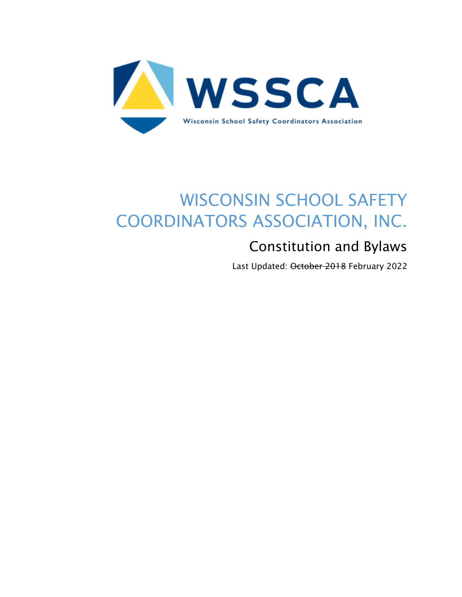

# WISCONSIN SCHOOL SAFETY COORDINATORS ASSOCIATION, INC.

## Constitution and Bylaws

Last Updated: October 2018 February 2022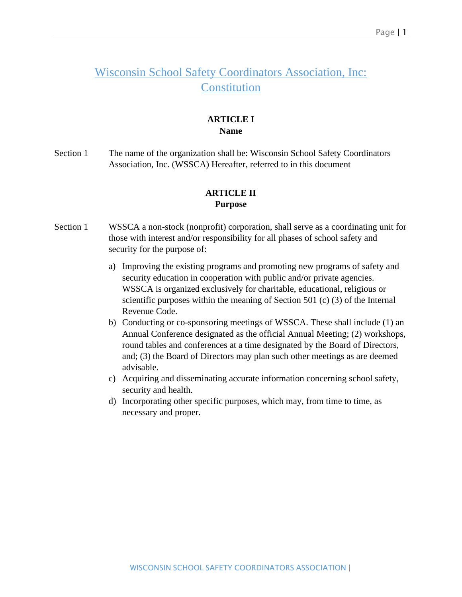### Wisconsin School Safety Coordinators Association, Inc: **Constitution**

#### **ARTICLE I Name**

Section 1 The name of the organization shall be: Wisconsin School Safety Coordinators Association, Inc. (WSSCA) Hereafter, referred to in this document

#### **ARTICLE II Purpose**

- Section 1 WSSCA a non-stock (nonprofit) corporation, shall serve as a coordinating unit for those with interest and/or responsibility for all phases of school safety and security for the purpose of:
	- a) Improving the existing programs and promoting new programs of safety and security education in cooperation with public and/or private agencies. WSSCA is organized exclusively for charitable, educational, religious or scientific purposes within the meaning of Section 501 (c) (3) of the Internal Revenue Code.
	- b) Conducting or co-sponsoring meetings of WSSCA. These shall include (1) an Annual Conference designated as the official Annual Meeting; (2) workshops, round tables and conferences at a time designated by the Board of Directors, and; (3) the Board of Directors may plan such other meetings as are deemed advisable.
	- c) Acquiring and disseminating accurate information concerning school safety, security and health.
	- d) Incorporating other specific purposes, which may, from time to time, as necessary and proper.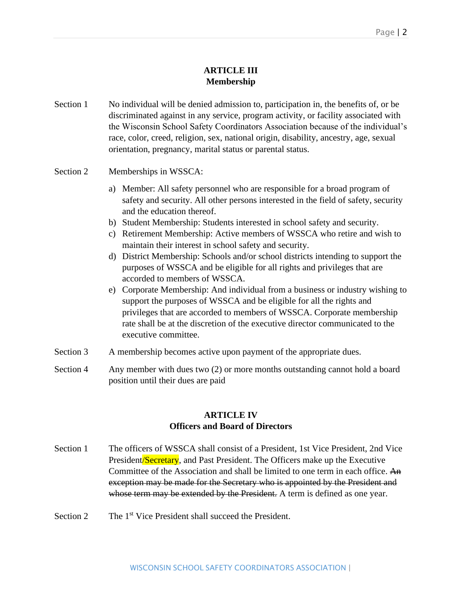#### **ARTICLE III Membership**

Section 1 No individual will be denied admission to, participation in, the benefits of, or be discriminated against in any service, program activity, or facility associated with the Wisconsin School Safety Coordinators Association because of the individual's race, color, creed, religion, sex, national origin, disability, ancestry, age, sexual orientation, pregnancy, marital status or parental status.

#### Section 2 Memberships in WSSCA:

- a) Member: All safety personnel who are responsible for a broad program of safety and security. All other persons interested in the field of safety, security and the education thereof.
- b) Student Membership: Students interested in school safety and security.
- c) Retirement Membership: Active members of WSSCA who retire and wish to maintain their interest in school safety and security.
- d) District Membership: Schools and/or school districts intending to support the purposes of WSSCA and be eligible for all rights and privileges that are accorded to members of WSSCA.
- e) Corporate Membership: And individual from a business or industry wishing to support the purposes of WSSCA and be eligible for all the rights and privileges that are accorded to members of WSSCA. Corporate membership rate shall be at the discretion of the executive director communicated to the executive committee.
- Section 3 A membership becomes active upon payment of the appropriate dues.
- Section 4 Any member with dues two (2) or more months outstanding cannot hold a board position until their dues are paid

#### **ARTICLE IV Officers and Board of Directors**

- Section 1 The officers of WSSCA shall consist of a President, 1st Vice President, 2nd Vice President/Secretary, and Past President. The Officers make up the Executive Committee of the Association and shall be limited to one term in each office. An exception may be made for the Secretary who is appointed by the President and whose term may be extended by the President. A term is defined as one year.
- Section 2 The 1<sup>st</sup> Vice President shall succeed the President.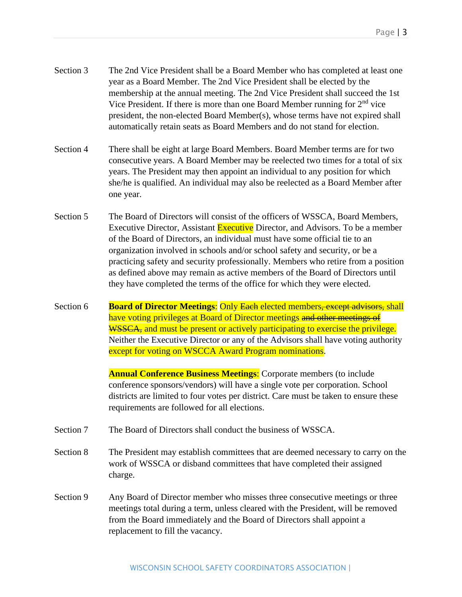- Section 3 The 2nd Vice President shall be a Board Member who has completed at least one year as a Board Member. The 2nd Vice President shall be elected by the membership at the annual meeting. The 2nd Vice President shall succeed the 1st Vice President. If there is more than one Board Member running for  $2<sup>nd</sup>$  vice president, the non-elected Board Member(s), whose terms have not expired shall automatically retain seats as Board Members and do not stand for election.
- Section 4 There shall be eight at large Board Members. Board Member terms are for two consecutive years. A Board Member may be reelected two times for a total of six years. The President may then appoint an individual to any position for which she/he is qualified. An individual may also be reelected as a Board Member after one year.
- Section 5 The Board of Directors will consist of the officers of WSSCA, Board Members, Executive Director, Assistant Executive Director, and Advisors. To be a member of the Board of Directors, an individual must have some official tie to an organization involved in schools and/or school safety and security, or be a practicing safety and security professionally. Members who retire from a position as defined above may remain as active members of the Board of Directors until they have completed the terms of the office for which they were elected.
- Section 6 **Board of Director Meetings:** Only Each elected members, except advisors, shall have voting privileges at Board of Director meetings and other meetings of WSSCA, and must be present or actively participating to exercise the privilege. Neither the Executive Director or any of the Advisors shall have voting authority except for voting on WSCCA Award Program nominations.

**Annual Conference Business Meetings:** Corporate members (to include conference sponsors/vendors) will have a single vote per corporation. School districts are limited to four votes per district. Care must be taken to ensure these requirements are followed for all elections.

- Section 7 The Board of Directors shall conduct the business of WSSCA.
- Section 8 The President may establish committees that are deemed necessary to carry on the work of WSSCA or disband committees that have completed their assigned charge.
- Section 9 Any Board of Director member who misses three consecutive meetings or three meetings total during a term, unless cleared with the President, will be removed from the Board immediately and the Board of Directors shall appoint a replacement to fill the vacancy.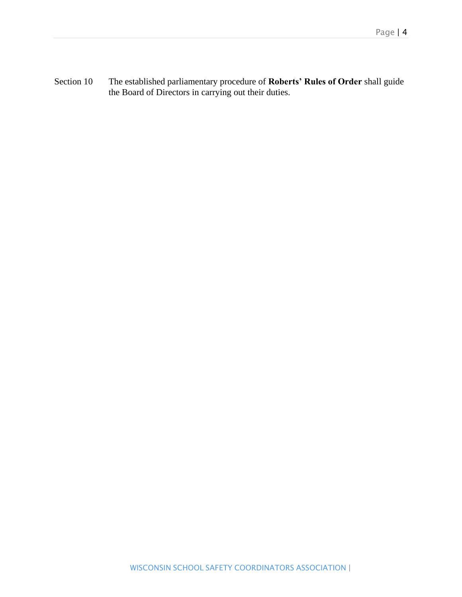Section 10 The established parliamentary procedure of **Roberts' Rules of Order** shall guide the Board of Directors in carrying out their duties.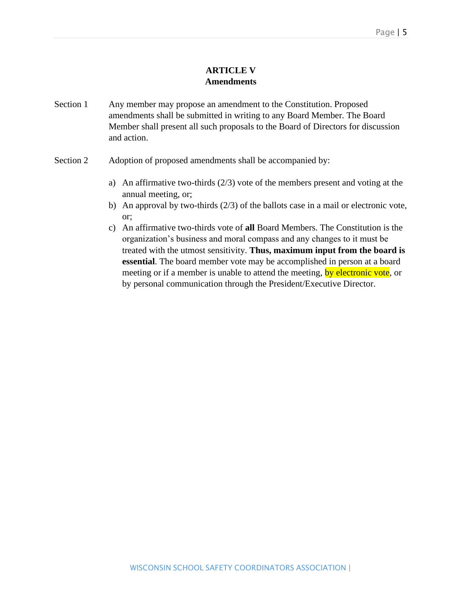#### **ARTICLE V Amendments**

- Section 1 Any member may propose an amendment to the Constitution. Proposed amendments shall be submitted in writing to any Board Member. The Board Member shall present all such proposals to the Board of Directors for discussion and action.
- Section 2 Adoption of proposed amendments shall be accompanied by:
	- a) An affirmative two-thirds (2/3) vote of the members present and voting at the annual meeting, or;
	- b) An approval by two-thirds (2/3) of the ballots case in a mail or electronic vote, or;
	- c) An affirmative two-thirds vote of **all** Board Members. The Constitution is the organization's business and moral compass and any changes to it must be treated with the utmost sensitivity. **Thus, maximum input from the board is essential**. The board member vote may be accomplished in person at a board meeting or if a member is unable to attend the meeting, by electronic vote, or by personal communication through the President/Executive Director.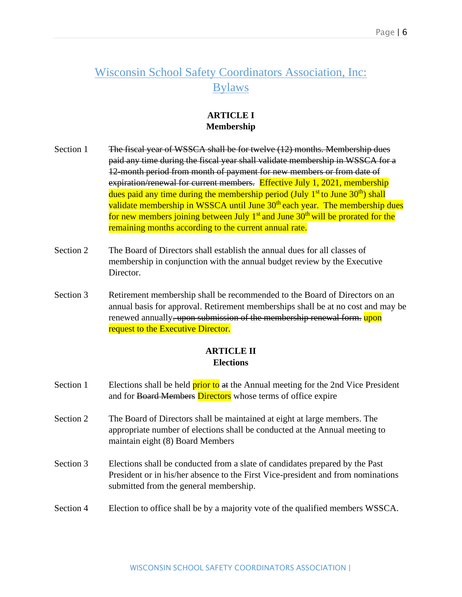## Wisconsin School Safety Coordinators Association, Inc: Bylaws

#### **ARTICLE I Membership**

- Section 1 The fiscal year of WSSCA shall be for twelve (12) months. Membership dues paid any time during the fiscal year shall validate membership in WSSCA for a 12-month period from month of payment for new members or from date of expiration/renewal for current members. Effective July 1, 2021, membership dues paid any time during the membership period (July 1<sup>st</sup> to June 30<sup>th</sup>) shall validate membership in WSSCA until June 30<sup>th</sup> each year. The membership dues for new members joining between July  $1<sup>st</sup>$  and June  $30<sup>th</sup>$  will be prorated for the remaining months according to the current annual rate.
- Section 2 The Board of Directors shall establish the annual dues for all classes of membership in conjunction with the annual budget review by the Executive Director.
- Section 3 Retirement membership shall be recommended to the Board of Directors on an annual basis for approval. Retirement memberships shall be at no cost and may be renewed annually. upon submission of the membership renewal form. upon request to the Executive Director.

#### **ARTICLE II Elections**

- Section 1 Elections shall be held **prior to** at the Annual meeting for the 2nd Vice President and for Board Members Directors whose terms of office expire
- Section 2 The Board of Directors shall be maintained at eight at large members. The appropriate number of elections shall be conducted at the Annual meeting to maintain eight (8) Board Members
- Section 3 Elections shall be conducted from a slate of candidates prepared by the Past President or in his/her absence to the First Vice-president and from nominations submitted from the general membership.
- Section 4 Election to office shall be by a majority vote of the qualified members WSSCA.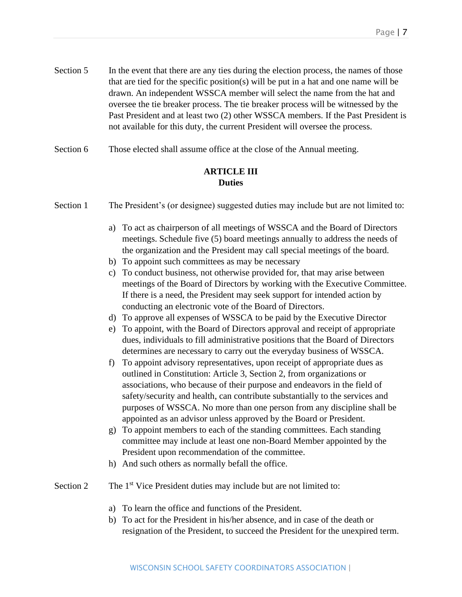- Section 5 In the event that there are any ties during the election process, the names of those that are tied for the specific position(s) will be put in a hat and one name will be drawn. An independent WSSCA member will select the name from the hat and oversee the tie breaker process. The tie breaker process will be witnessed by the Past President and at least two (2) other WSSCA members. If the Past President is not available for this duty, the current President will oversee the process.
- Section 6 Those elected shall assume office at the close of the Annual meeting.

#### **ARTICLE III Duties**

Section 1 The President's (or designee) suggested duties may include but are not limited to:

- a) To act as chairperson of all meetings of WSSCA and the Board of Directors meetings. Schedule five (5) board meetings annually to address the needs of the organization and the President may call special meetings of the board.
- b) To appoint such committees as may be necessary
- c) To conduct business, not otherwise provided for, that may arise between meetings of the Board of Directors by working with the Executive Committee. If there is a need, the President may seek support for intended action by conducting an electronic vote of the Board of Directors.
- d) To approve all expenses of WSSCA to be paid by the Executive Director
- e) To appoint, with the Board of Directors approval and receipt of appropriate dues, individuals to fill administrative positions that the Board of Directors determines are necessary to carry out the everyday business of WSSCA.
- f) To appoint advisory representatives, upon receipt of appropriate dues as outlined in Constitution: Article 3, Section 2, from organizations or associations, who because of their purpose and endeavors in the field of safety/security and health, can contribute substantially to the services and purposes of WSSCA. No more than one person from any discipline shall be appointed as an advisor unless approved by the Board or President.
- g) To appoint members to each of the standing committees. Each standing committee may include at least one non-Board Member appointed by the President upon recommendation of the committee.
- h) And such others as normally befall the office.
- Section 2 The  $1<sup>st</sup>$  Vice President duties may include but are not limited to:
	- a) To learn the office and functions of the President.
	- b) To act for the President in his/her absence, and in case of the death or resignation of the President, to succeed the President for the unexpired term.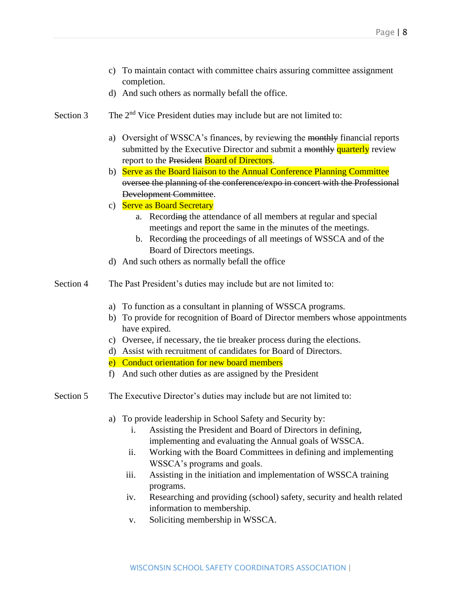- c) To maintain contact with committee chairs assuring committee assignment completion.
- d) And such others as normally befall the office.
- Section 3 The 2<sup>nd</sup> Vice President duties may include but are not limited to:
	- a) Oversight of WSSCA's finances, by reviewing the monthly financial reports submitted by the Executive Director and submit a monthly quarterly review report to the President Board of Directors.
	- b) Serve as the Board liaison to the Annual Conference Planning Committee oversee the planning of the conference/expo in concert with the Professional Development Committee.
	- c) Serve as Board Secretary
		- a. Recording the attendance of all members at regular and special meetings and report the same in the minutes of the meetings.
		- b. Recording the proceedings of all meetings of WSSCA and of the Board of Directors meetings.
	- d) And such others as normally befall the office
- Section 4 The Past President's duties may include but are not limited to:
	- a) To function as a consultant in planning of WSSCA programs.
	- b) To provide for recognition of Board of Director members whose appointments have expired.
	- c) Oversee, if necessary, the tie breaker process during the elections.
	- d) Assist with recruitment of candidates for Board of Directors.
	- e) Conduct orientation for new board members
	- f) And such other duties as are assigned by the President
- Section 5 The Executive Director's duties may include but are not limited to:
	- a) To provide leadership in School Safety and Security by:
		- i. Assisting the President and Board of Directors in defining, implementing and evaluating the Annual goals of WSSCA.
		- ii. Working with the Board Committees in defining and implementing WSSCA's programs and goals.
		- iii. Assisting in the initiation and implementation of WSSCA training programs.
		- iv. Researching and providing (school) safety, security and health related information to membership.
		- v. Soliciting membership in WSSCA.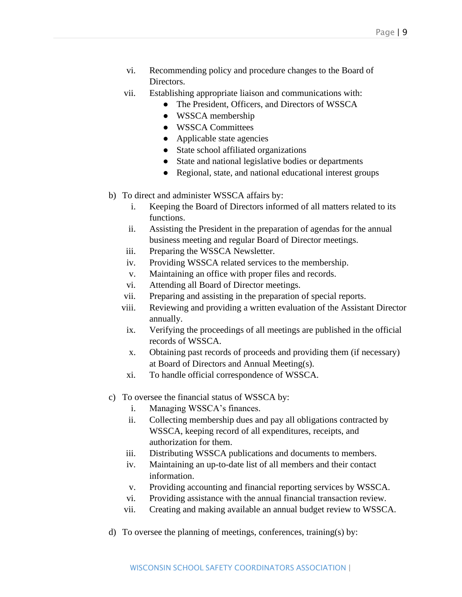- vi. Recommending policy and procedure changes to the Board of Directors.
- vii. Establishing appropriate liaison and communications with:
	- The President, Officers, and Directors of WSSCA
	- WSSCA membership
	- WSSCA Committees
	- Applicable state agencies
	- State school affiliated organizations
	- State and national legislative bodies or departments
	- Regional, state, and national educational interest groups
- b) To direct and administer WSSCA affairs by:
	- i. Keeping the Board of Directors informed of all matters related to its functions.
	- ii. Assisting the President in the preparation of agendas for the annual business meeting and regular Board of Director meetings.
	- iii. Preparing the WSSCA Newsletter.
	- iv. Providing WSSCA related services to the membership.
	- v. Maintaining an office with proper files and records.
	- vi. Attending all Board of Director meetings.
	- vii. Preparing and assisting in the preparation of special reports.
	- viii. Reviewing and providing a written evaluation of the Assistant Director annually.
	- ix. Verifying the proceedings of all meetings are published in the official records of WSSCA.
	- x. Obtaining past records of proceeds and providing them (if necessary) at Board of Directors and Annual Meeting(s).
	- xi. To handle official correspondence of WSSCA.
- c) To oversee the financial status of WSSCA by:
	- i. Managing WSSCA's finances.
	- ii. Collecting membership dues and pay all obligations contracted by WSSCA, keeping record of all expenditures, receipts, and authorization for them.
	- iii. Distributing WSSCA publications and documents to members.
	- iv. Maintaining an up-to-date list of all members and their contact information.
	- v. Providing accounting and financial reporting services by WSSCA.
	- vi. Providing assistance with the annual financial transaction review.
	- vii. Creating and making available an annual budget review to WSSCA.
- d) To oversee the planning of meetings, conferences, training(s) by: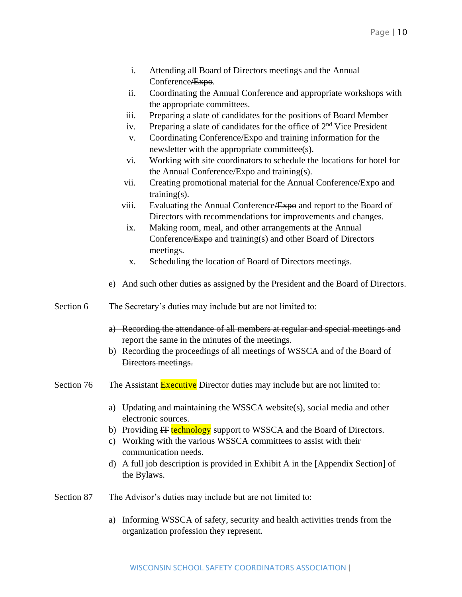- i. Attending all Board of Directors meetings and the Annual Conference <del>/ Expo.</del>
- ii. Coordinating the Annual Conference and appropriate workshops with the appropriate committees.
- iii. Preparing a slate of candidates for the positions of Board Member
- iv. Preparing a slate of candidates for the office of  $2<sup>nd</sup>$  Vice President
- v. Coordinating Conference/Expo and training information for the newsletter with the appropriate committee(s).
- vi. Working with site coordinators to schedule the locations for hotel for the Annual Conference/Expo and training(s).
- vii. Creating promotional material for the Annual Conference/Expo and training(s).
- viii. Evaluating the Annual Conference <del>Expo</del> and report to the Board of Directors with recommendations for improvements and changes.
- ix. Making room, meal, and other arrangements at the Annual Conference <del>Expo</del> and training(s) and other Board of Directors meetings.
- x. Scheduling the location of Board of Directors meetings.
- e) And such other duties as assigned by the President and the Board of Directors.
- Section 6 The Secretary's duties may include but are not limited to:
	- a) Recording the attendance of all members at regular and special meetings and report the same in the minutes of the meetings.
	- b) Recording the proceedings of all meetings of WSSCA and of the Board of Directors meetings.
- Section 76 The Assistant Executive Director duties may include but are not limited to:
	- a) Updating and maintaining the WSSCA website(s), social media and other electronic sources.
	- b) Providing IT technology support to WSSCA and the Board of Directors.
	- c) Working with the various WSSCA committees to assist with their communication needs.
	- d) A full job description is provided in Exhibit A in the [Appendix Section] of the Bylaws.
- Section 87 The Advisor's duties may include but are not limited to:
	- a) Informing WSSCA of safety, security and health activities trends from the organization profession they represent.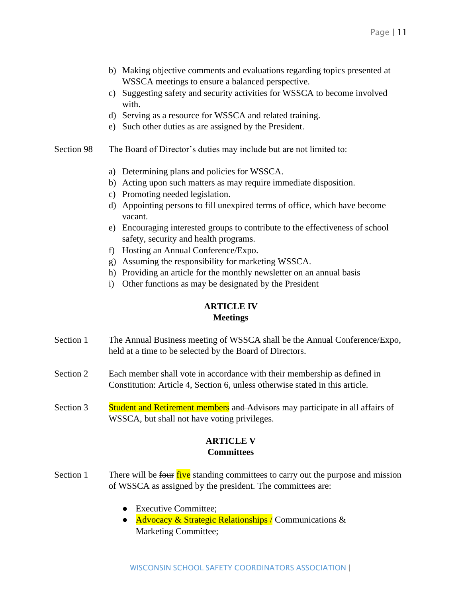- b) Making objective comments and evaluations regarding topics presented at WSSCA meetings to ensure a balanced perspective.
- c) Suggesting safety and security activities for WSSCA to become involved with.
- d) Serving as a resource for WSSCA and related training.
- e) Such other duties as are assigned by the President.
- Section 98 The Board of Director's duties may include but are not limited to:
	- a) Determining plans and policies for WSSCA.
	- b) Acting upon such matters as may require immediate disposition.
	- c) Promoting needed legislation.
	- d) Appointing persons to fill unexpired terms of office, which have become vacant.
	- e) Encouraging interested groups to contribute to the effectiveness of school safety, security and health programs.
	- f) Hosting an Annual Conference/Expo.
	- g) Assuming the responsibility for marketing WSSCA.
	- h) Providing an article for the monthly newsletter on an annual basis
	- i) Other functions as may be designated by the President

#### **ARTICLE IV Meetings**

- Section 1 The Annual Business meeting of WSSCA shall be the Annual Conference/Expo, held at a time to be selected by the Board of Directors.
- Section 2 Each member shall vote in accordance with their membership as defined in Constitution: Article 4, Section 6, unless otherwise stated in this article.
- Section 3 Student and Retirement members and Advisors may participate in all affairs of WSSCA, but shall not have voting privileges.

#### **ARTICLE V Committees**

- Section 1 There will be four five standing committees to carry out the purpose and mission of WSSCA as assigned by the president. The committees are:
	- Executive Committee:
	- Advocacy & Strategic Relationships / Communications & Marketing Committee;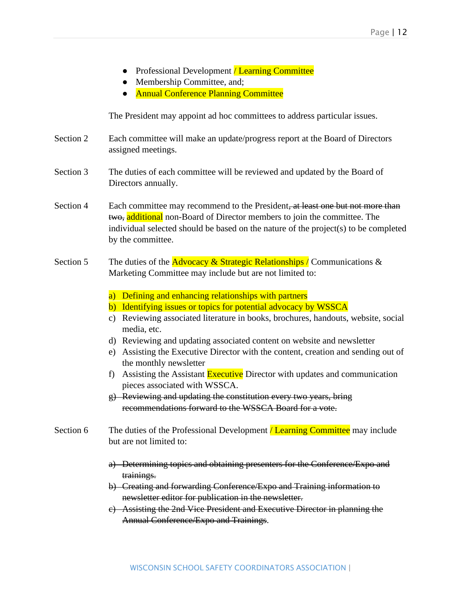- Professional Development / Learning Committee
- Membership Committee, and;
- **Annual Conference Planning Committee**

The President may appoint ad hoc committees to address particular issues.

- Section 2 Each committee will make an update/progress report at the Board of Directors assigned meetings.
- Section 3 The duties of each committee will be reviewed and updated by the Board of Directors annually.
- Section 4 Each committee may recommend to the President, at least one but not more than two, additional non-Board of Director members to join the committee. The individual selected should be based on the nature of the project(s) to be completed by the committee.
- Section 5 The duties of the **Advocacy & Strategic Relationships** / Communications & Marketing Committee may include but are not limited to:
	- a) Defining and enhancing relationships with partners
	- b) Identifying issues or topics for potential advocacy by WSSCA
	- c) Reviewing associated literature in books, brochures, handouts, website, social media, etc.
	- d) Reviewing and updating associated content on website and newsletter
	- e) Assisting the Executive Director with the content, creation and sending out of the monthly newsletter
	- f) Assisting the Assistant Executive Director with updates and communication pieces associated with WSSCA.
	- g) Reviewing and updating the constitution every two years, bring recommendations forward to the WSSCA Board for a vote.
- Section 6 The duties of the Professional Development *Learning Committee* may include but are not limited to:
	- a) Determining topics and obtaining presenters for the Conference/Expo and trainings.
	- b) Creating and forwarding Conference/Expo and Training information to newsletter editor for publication in the newsletter.
	- c) Assisting the 2nd Vice President and Executive Director in planning the Annual Conference/Expo and Trainings.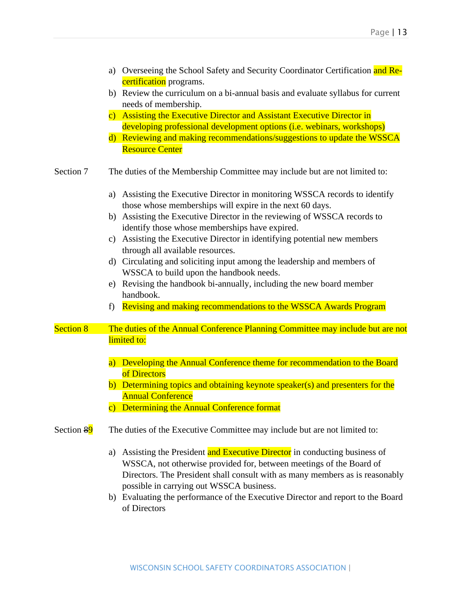|                  | a) Overseeing the School Safety and Security Coordinator Certification and Re-<br>certification programs.                                                                                                                                                                         |  |  |  |
|------------------|-----------------------------------------------------------------------------------------------------------------------------------------------------------------------------------------------------------------------------------------------------------------------------------|--|--|--|
|                  | b) Review the curriculum on a bi-annual basis and evaluate syllabus for current<br>needs of membership.                                                                                                                                                                           |  |  |  |
|                  | Assisting the Executive Director and Assistant Executive Director in<br>$\mathbf{c})$                                                                                                                                                                                             |  |  |  |
|                  | developing professional development options (i.e. webinars, workshops)<br>d) Reviewing and making recommendations/suggestions to update the WSSCA<br><b>Resource Center</b>                                                                                                       |  |  |  |
| Section 7        | The duties of the Membership Committee may include but are not limited to:                                                                                                                                                                                                        |  |  |  |
|                  | Assisting the Executive Director in monitoring WSSCA records to identify<br>a)<br>those whose memberships will expire in the next 60 days.                                                                                                                                        |  |  |  |
|                  | b) Assisting the Executive Director in the reviewing of WSSCA records to<br>identify those whose memberships have expired.                                                                                                                                                        |  |  |  |
|                  | c) Assisting the Executive Director in identifying potential new members<br>through all available resources.                                                                                                                                                                      |  |  |  |
|                  | d) Circulating and soliciting input among the leadership and members of<br>WSSCA to build upon the handbook needs.                                                                                                                                                                |  |  |  |
|                  | e) Revising the handbook bi-annually, including the new board member<br>handbook.                                                                                                                                                                                                 |  |  |  |
|                  | Revising and making recommendations to the WSSCA Awards Program<br>f                                                                                                                                                                                                              |  |  |  |
| <b>Section 8</b> | The duties of the Annual Conference Planning Committee may include but are not                                                                                                                                                                                                    |  |  |  |
|                  | limited to:                                                                                                                                                                                                                                                                       |  |  |  |
|                  | a) Developing the Annual Conference theme for recommendation to the Board<br>of Directors                                                                                                                                                                                         |  |  |  |
|                  | Determining topics and obtaining keynote speaker(s) and presenters for the<br>$\mathbf{b}$<br><b>Annual Conference</b>                                                                                                                                                            |  |  |  |
|                  | Determining the Annual Conference format<br>$\mathbf{C}$ )                                                                                                                                                                                                                        |  |  |  |
| Section 89       | The duties of the Executive Committee may include but are not limited to:                                                                                                                                                                                                         |  |  |  |
|                  | Assisting the President and Executive Director in conducting business of<br>a)<br>WSSCA, not otherwise provided for, between meetings of the Board of<br>Directors. The President shall consult with as many members as is reasonably<br>possible in carrying out WSSCA business. |  |  |  |

b) Evaluating the performance of the Executive Director and report to the Board of Directors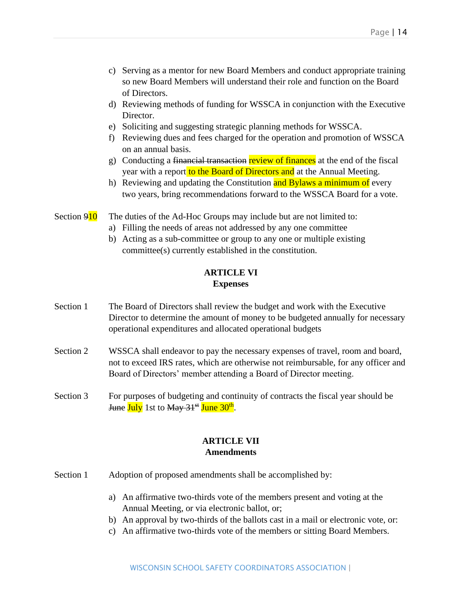- c) Serving as a mentor for new Board Members and conduct appropriate training so new Board Members will understand their role and function on the Board of Directors.
- d) Reviewing methods of funding for WSSCA in conjunction with the Executive Director.
- e) Soliciting and suggesting strategic planning methods for WSSCA.
- f) Reviewing dues and fees charged for the operation and promotion of WSSCA on an annual basis.
- g) Conducting a financial transaction review of finances at the end of the fiscal year with a report to the Board of Directors and at the Annual Meeting.
- h) Reviewing and updating the Constitution and Bylaws a minimum of every two years, bring recommendations forward to the WSSCA Board for a vote.
- Section  $910$  The duties of the Ad-Hoc Groups may include but are not limited to:
	- a) Filling the needs of areas not addressed by any one committee
	- b) Acting as a sub-committee or group to any one or multiple existing committee(s) currently established in the constitution.

#### **ARTICLE VI Expenses**

- Section 1 The Board of Directors shall review the budget and work with the Executive Director to determine the amount of money to be budgeted annually for necessary operational expenditures and allocated operational budgets
- Section 2 WSSCA shall endeavor to pay the necessary expenses of travel, room and board, not to exceed IRS rates, which are otherwise not reimbursable, for any officer and Board of Directors' member attending a Board of Director meeting.
- Section 3 For purposes of budgeting and continuity of contracts the fiscal year should be <del>June</del> <mark>July</mark> 1st to <del>May 31<sup>st</sup> June 30<sup>th</sup>.</del>

#### **ARTICLE VII Amendments**

- Section 1 Adoption of proposed amendments shall be accomplished by:
	- a) An affirmative two-thirds vote of the members present and voting at the Annual Meeting, or via electronic ballot, or;
	- b) An approval by two-thirds of the ballots cast in a mail or electronic vote, or:
	- c) An affirmative two-thirds vote of the members or sitting Board Members.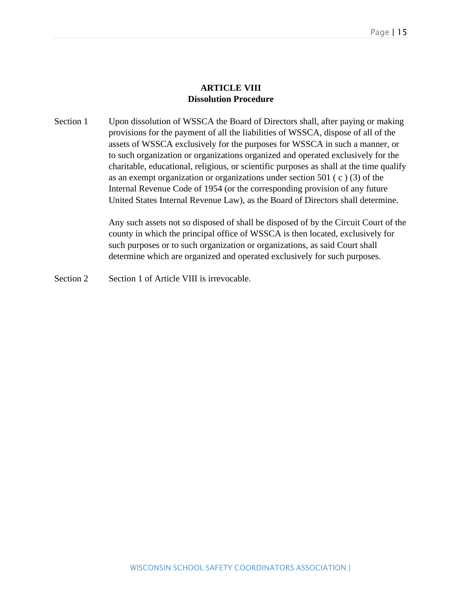#### **ARTICLE VIII Dissolution Procedure**

Section 1 Upon dissolution of WSSCA the Board of Directors shall, after paying or making provisions for the payment of all the liabilities of WSSCA, dispose of all of the assets of WSSCA exclusively for the purposes for WSSCA in such a manner, or to such organization or organizations organized and operated exclusively for the charitable, educational, religious, or scientific purposes as shall at the time qualify as an exempt organization or organizations under section 501 ( c ) (3) of the Internal Revenue Code of 1954 (or the corresponding provision of any future United States Internal Revenue Law), as the Board of Directors shall determine.

> Any such assets not so disposed of shall be disposed of by the Circuit Court of the county in which the principal office of WSSCA is then located, exclusively for such purposes or to such organization or organizations, as said Court shall determine which are organized and operated exclusively for such purposes.

Section 2 Section 1 of Article VIII is irrevocable.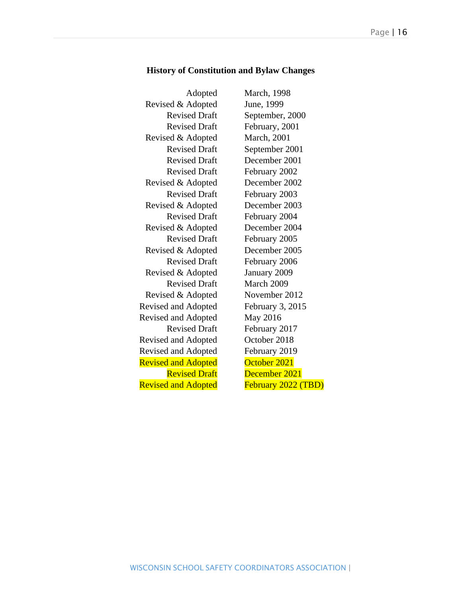#### **History of Constitution and Bylaw Changes**

| Adopted                    | <b>March</b> , 1998 |
|----------------------------|---------------------|
| Revised & Adopted          | June, 1999          |
| <b>Revised Draft</b>       | September, 2000     |
| <b>Revised Draft</b>       | February, 2001      |
| Revised & Adopted          | <b>March</b> , 2001 |
| <b>Revised Draft</b>       | September 2001      |
| <b>Revised Draft</b>       | December 2001       |
| <b>Revised Draft</b>       | February 2002       |
| Revised & Adopted          | December 2002       |
| <b>Revised Draft</b>       | February 2003       |
| Revised & Adopted          | December 2003       |
| <b>Revised Draft</b>       | February 2004       |
| Revised & Adopted          | December 2004       |
| <b>Revised Draft</b>       | February 2005       |
| Revised & Adopted          | December 2005       |
| <b>Revised Draft</b>       | February 2006       |
| Revised & Adopted          | January 2009        |
| <b>Revised Draft</b>       | March 2009          |
| Revised & Adopted          | November 2012       |
| <b>Revised and Adopted</b> | February 3, 2015    |
| <b>Revised and Adopted</b> | May 2016            |
| <b>Revised Draft</b>       | February 2017       |
| <b>Revised and Adopted</b> | October 2018        |
| <b>Revised and Adopted</b> | February 2019       |
| <b>Revised and Adopted</b> | October 2021        |
| <b>Revised Draft</b>       | December 2021       |
| <b>Revised and Adopted</b> | February 2022 (TBD) |
|                            |                     |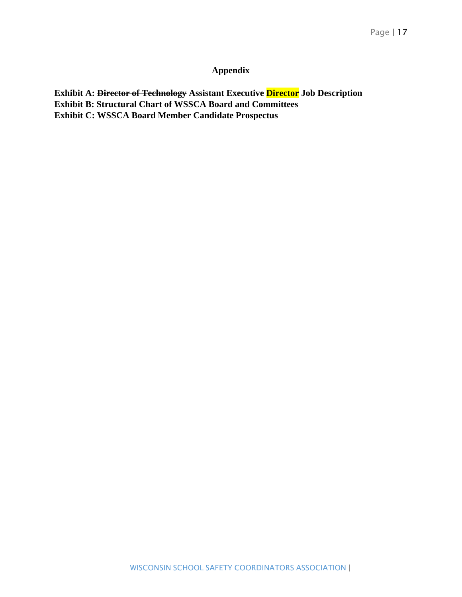#### **Appendix**

**Exhibit A: Director of Technology Assistant Executive Director Job Description Exhibit B: Structural Chart of WSSCA Board and Committees Exhibit C: WSSCA Board Member Candidate Prospectus**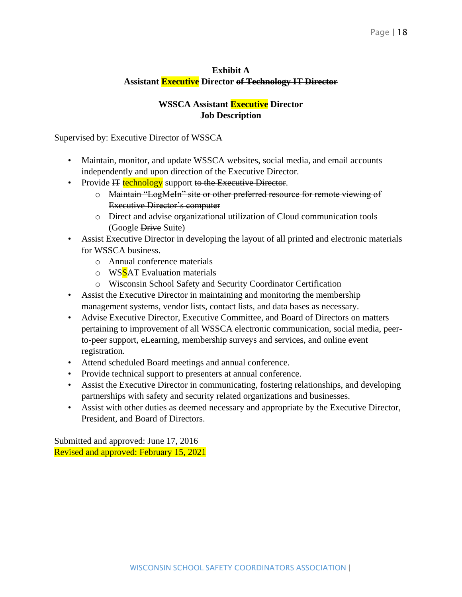#### **Exhibit A Assistant Executive Director of Technology IT Director**

#### **WSSCA Assistant Executive Director Job Description**

Supervised by: Executive Director of WSSCA

- Maintain, monitor, and update WSSCA websites, social media, and email accounts independently and upon direction of the Executive Director.
- Provide IT technology support to the Executive Director.
	- o Maintain "LogMeIn" site or other preferred resource for remote viewing of Executive Director's computer
	- o Direct and advise organizational utilization of Cloud communication tools (Google Drive Suite)
- Assist Executive Director in developing the layout of all printed and electronic materials for WSSCA business.
	- o Annual conference materials
	- o WSSAT Evaluation materials
	- o Wisconsin School Safety and Security Coordinator Certification
- Assist the Executive Director in maintaining and monitoring the membership management systems, vendor lists, contact lists, and data bases as necessary.
- Advise Executive Director, Executive Committee, and Board of Directors on matters pertaining to improvement of all WSSCA electronic communication, social media, peerto-peer support, eLearning, membership surveys and services, and online event registration.
- Attend scheduled Board meetings and annual conference.
- Provide technical support to presenters at annual conference.
- Assist the Executive Director in communicating, fostering relationships, and developing partnerships with safety and security related organizations and businesses.
- Assist with other duties as deemed necessary and appropriate by the Executive Director, President, and Board of Directors.

Submitted and approved: June 17, 2016 Revised and approved: February 15, 2021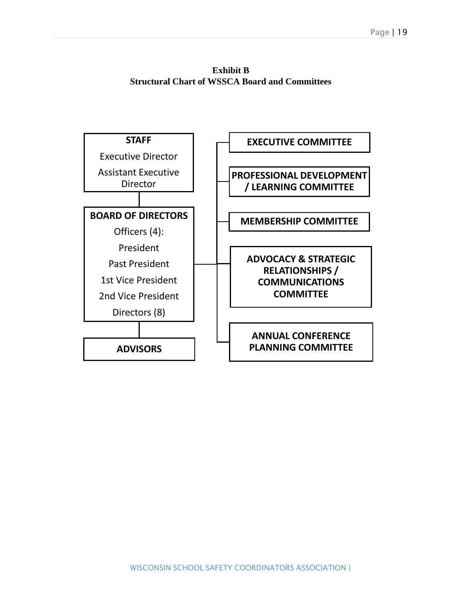**Exhibit B Structural Chart of WSSCA Board and Committees**